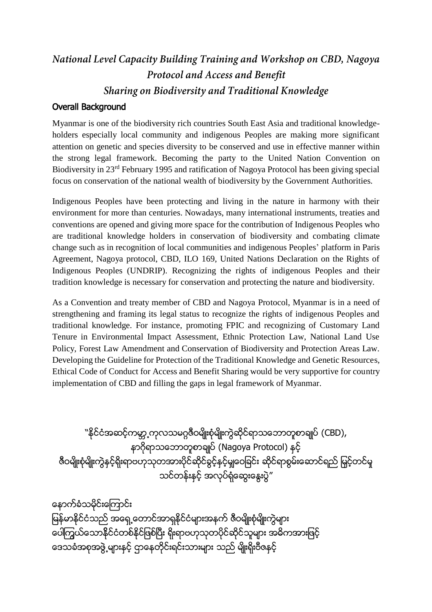## National Level Capacity Building Training and Workshop on CBD, Nagoya Protocol and Access and Benefit Sharing on Biodiversity and Traditional Knowledge

## Overall Background

Myanmar is one of the biodiversity rich countries South East Asia and traditional knowledgeholders especially local community and indigenous Peoples are making more significant attention on genetic and species diversity to be conserved and use in effective manner within the strong legal framework. Becoming the party to the United Nation Convention on Biodiversity in 23rd February 1995 and ratification of Nagoya Protocol has been giving special focus on conservation of the national wealth of biodiversity by the Government Authorities.

Indigenous Peoples have been protecting and living in the nature in harmony with their environment for more than centuries. Nowadays, many international instruments, treaties and conventions are opened and giving more space for the contribution of Indigenous Peoples who are traditional knowledge holders in conservation of biodiversity and combating climate change such as in recognition of local communities and indigenous Peoples' platform in Paris Agreement, Nagoya protocol, CBD, ILO 169, United Nations Declaration on the Rights of Indigenous Peoples (UNDRIP). Recognizing the rights of indigenous Peoples and their tradition knowledge is necessary for conservation and protecting the nature and biodiversity.

As a Convention and treaty member of CBD and Nagoya Protocol, Myanmar is in a need of strengthening and framing its legal status to recognize the rights of indigenous Peoples and traditional knowledge. For instance, promoting FPIC and recognizing of Customary Land Tenure in Environmental Impact Assessment, Ethnic Protection Law, National Land Use Policy, Forest Law Amendment and Conservation of Biodiversity and Protection Areas Law. Developing the Guideline for Protection of the Traditional Knowledge and Genetic Resources, Ethical Code of Conduct for Access and Benefit Sharing would be very supportive for country implementation of CBD and filling the gaps in legal framework of Myanmar.

<u>'</u>'နိုင်ငံအဆင့်ကမ္ဘာ့ကုလသမဂ္ဂဇီဝမျိုးစုံမျိုးကွဲဆိုင်ရာသဘောတူစာချုပ် (CBD), နာဂိုရာသဘောတူစာချုပ် (Nagoya Protocol) နှင့် .<br>ဇီဝမျိုးစုံမျိုးကွဲနှင့်ရိုးရာဗဟုသုတအားပိုင်ဆိုင်ခွင့်နှင့်မျှဝေခြင်း ဆိုင်ရာစွမ်းဆောင်ရည် မြှင့်တင်မှု သင်တန်းနှင့် အလုပ်ရံဆွေးနွေးပွဲ"

ေနာက္ခံသမိုင္်ိဳးေၾကာင္်ိဳး ျမန်မာနိုင်ငံသည် အရှေ့တောင်အာရှနိုင်ငံများအနက် ဇီဝမျိုးစုံမျိုးကွဲများ ေပါကြယ်သောနိုင်ငံတစ်နိုင်ဖြစ်ပြီး ရိုးရာဗဟုသုတပိုင်ဆိုင်သူများ အဓိကအားဖြင့် ဒေသခံအစုအဖွဲ့ များနင့် ဌာနေတိုင်းရင်းသားများ သည် မျိုးရိုးဗီဇနင့်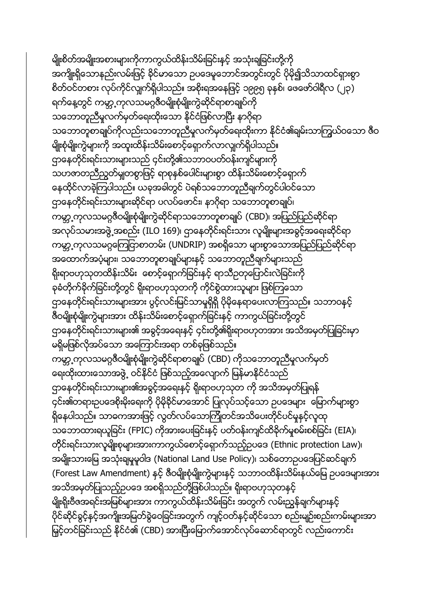မျိုးစိတ်အမျိုးအစားများကိုကာကွယ်ထိန်းသိမ်းခြင်းနှင့် အသုံးချခြင်းတို့ကို အကျိုးရှိသောနည်းလမ်းဖြင့် နိင်မာသော ဥပဒေမူဘောင်အတွင်းတွင် ပိုမို၍သိသာထင်ရှားစွာ စိတ်ဝင်တစား လုပ်ကိုင်လျှက်ရှိပါသည်။ အစိုးရအနေဖြင့် ၁၉၉၅ ခုနှစ်၊ ဖေဖော်ဝါရီလ (၂၃) ရက်နေ့တွင် ကမ္ဘာ့ကုလသမဂ္ဂဇီဝမျိုးစုံမျိုးကွဲဆိုင်ရာစာချုပ်ကို သဘောတူညီမှုလက်မှတ်ရေးထိုးသော နိုင်ငံဖြစ်လာပြီး နာဂိုရာ သဘောတူစာချုပ်ကိုလည်းသဘောတူညီမှုလက်မှတ်ရေးထိုးကာ နိုင်ငံ၏ချမ်းသာကြွယ်ဝသော ဇီဝ မျိုးစုံမျိုးကွဲများကို အထူးထိန်းသိမ်းစောင့်ရှောက်လာလျှက်ရှိပါသည်။ ဌာနေတိုင်းရင်းသားများသည် ၄င်းတို့၏သဘာဝပတ်ဝန်းကျင်များကို သဟဇာတညီညွတ်မှုုတစွာဖြင့် ရာစုနှစ်ပေါင်းများစွာ ထိန်းသိမ်းစောင့်ရှောက် နေထိုင်လာခဲ့ကြပါသည်။ ယခုအခါတွင် ပဲရစ်သဘောတူညီချက်တွင်ပါဝင်သော ဌာနေတိုင်းရင်းသားများဆိုင်ရာ ပလပ်ဖောင်း၊ နာဂိုရာ သဘောတူစာချုပ်၊ ကမ္ဘာ့ကုလသမဂ္ဂဇီဝမျိုးစုံမျိုးကွဲဆိုင်ရာသဘောတူစာချုပ် (CBD)၊ အပြည်ပြည်ဆိုင်ရာ အလုပ်သမားအဖွဲ့ အစည်း (ILO 169)၊ ဌာနေတိုင်းရင်းသား လူမျိုးများအခွင့်အရေးဆိုင်ရာ ကမ္ဘာ့ကုလသမဂ္ဂကြေငြာစာတမ်း (UNDRIP) အစရှိသော များစွာသောအပြည်ပြည်ဆိုင်ရာ အထောက်အပံ့များ၊ သဘောတူစာချုပ်များနင့် သဘောတူညီချက်များသည် ရိုးရာဗဟုသုတထိန်းသိမ်း ေစာင့်ရှောက်ခြင်းနင့် ရာသီဥတုပြောင်းလဲခြင်းကို ခုခံတိုက်ခိုက်ခြင်းတို့တွင် ရိုးရာဗဟုသုတကို ကိုင်စွဲထားသူများ ဖြစ်ကြသော ဌာနေတိုင်းရင်းသားများအား ပွင့်လင်းမြင်သာမှုရှိရှိ ပိုမိုနေရာပေးလာကြသည်။ သဘာဝနှင့် ဇီဝမျိုးစုံမျိုးကွဲများအား ထိန်းသိမ်းစောင့်ရှောက်ခြင်းနင့် ကာကွယ်ခြင်းတို့တွင် ဌာနေတိုင်းရင်းသားများ၏ အခွင့်အရေးနှင့် ၄င်းတို့၏ရိုးရာဗဟုတအား အသိအမှတ်ပြုခြင်းမှာ မရှိမဖြစ်လိုအပ်သော အကြောင်းအရာ တစ်ခုဖြစ်သည်။ ကမ္ဘာ့ကုလသမဂ္ဂဇီဝမျိုးစုံမျိုးကွဲဆိုင်ရာစာချုပ် (CBD) ကိုသဘောတူညီမှုလက်မှတ် ရေးထိုးထားသောအဖွဲ့ ဝင်နိုင်ငံ ဖြစ်သည့်အလျောက် မြန်မာနိုင်ငံသည် ဌာနေတိုင်းရင်းသားများ၏အခွင့်အရေးနင့် ရိုးရာဗဟုသုတ ကို အသိအမှတ်ပြုရန် ၄င်း၏တရားဥပဒေစိုးမိုးရေးကို ပိုမိုခိုင်မာအောင် ပြုလုပ်သင့်သော ဥပဒေများ မြောက်များစွာ ရှိနေပါသည်။ သာဓကအားဖြင့် လွတ်လပ်သောကြိုတင်အသိပေးတိုင်ပင်မှုနှင့်လူထု သဘောထားရယူခြင်း (FPIC) ကိုအားပေးခြင်းနှင့် ပတ်ဝန်းကျင်ထိခိုက်မှုစမ်းစစ်ခြင်း (EIA)၊ တိုင်းရင်းသားလူမျိုးစုများအားကာကွယ်စောင့်ရှောက်သည့်ဥပဒေ (Ethnic protection Law)၊ အမျိုးသားမြေ အသုံးချမှုမူဝါဒ (National Land Use Policy)၊ သစ်တောဥပဒေပြင်ဆင်ချက် (Forest Law Amendment) နှင့် ဇီဝမျိုးစုံမျိုးကွဲများနှင့် သဘာဝထိန်းသိမ်းနယ်မြေ ဥပဒေများအား အသိအမှတ်ပြုသည့်ဥပဒေ အစရှိသည်တို့ဖြစ်ပါသည်။ ရိုးရာဗဟုသုတနှင့် မျိုးရိုးဗီဇအရင်းအမြစ်များအား ကာကွယ်ထိန်းသိမ်းခြင်း အတွက် လမ်းညွှန်ချက်များနှင့် ပိုင်ဆိုင်ခွင့်နှင့်အကျိုးအမြတ်ခွဲဝေခြင်းအတွက် ကျင့်ဝတ်နှင့်ဆိုင်သော စည်းမျဉ်းစည်းကမ်းများအာ မြှင့်တင်ခြင်းသည် နိုင်ငံ၏ (CBD) အားပြီးမြောက်အောင်လုပ်ံဆောင်ရာတွင် လည်းကောင်း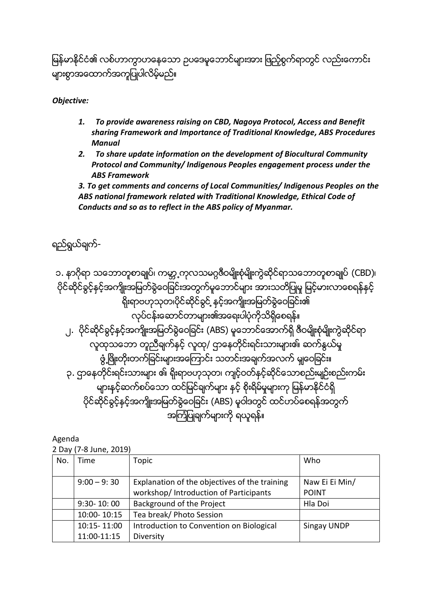မြန်မာနိုင်ငံ၏ လစ်ဟာက္မွာဟနေသော ဥပဒေမူဘောင်များအား ဖြည့်စွက်ရာတွင် လည်းကောင်း များစွာအထောက်အကူပြုပါလိမ့်မည်။

*Objective:*

- *1. To provide awareness raising on CBD, Nagoya Protocol, Access and Benefit sharing Framework and Importance of Traditional Knowledge, ABS Procedures Manual*
- *2. To share update information on the development of Biocultural Community Protocol and Community/ Indigenous Peoples engagement process under the ABS Framework*

*3. To get comments and concerns of Local Communities/ Indigenous Peoples on the ABS national framework related with Traditional Knowledge, Ethical Code of Conducts and so as to reflect in the ABS policy of Myanmar.*

## ရည်ရွယ်ချက်-

၁. နာဂိုရာ သဘောတူစာချုပ်၊ ကမ္ဘာ့့ကုလသမဂ္ဂဇီဝမျိုးစုံမျိုးကွဲဆိုင်ရာသဘောတူစာချုပ် (CBD)၊ ပိုင်ဆိုင်ခွင့်နှင့်အကျိုးအမြတ်ခွဲဝေခြင်းအတွက်မှုဘောင်များ အားသတိပြုမှု မြင့်မားလာစေရန်နှင့် ရိုးရာဗဟုသုတ၊ပိုင်ဆိုင်ခွင် ့နင့်အကျိုးအမြတ်ခွဲဝေခြင်း၏ လုပ်ငန်းဆောင်တာများ၏အရေးပါပုံကိုသိရှိစေရန်။ ၂. ပိုင်ဆိုင်ခွင့်နှင့်အကျိုးအမြတ်ခွဲဝေခြင်း (ABS) မူဘောင်အောက်ရှိ ဇီဝမျိုးစုံမျိုးကွဲဆိုင်ရာ လူထုသဘော တူညီချက်နှင့် လူထု/ ဌာနေတိုင်းရင်းသားများ၏ ဆက်နွယ်မှု ဖွံ့ဖြိုးတိုးတက်ခြင်းများအကြောင်း သတင်းအချက်အလက် မျှဝေခြင်း။ ၃. ဌာနေတိုင်းရင်းသားများ ဖါ ရိုးရာဗဟုသုတ၊ ကျင့်ဝတ်နှင့်ဆိုင်သောစည်းမျဉ်းစည်းကမ်း များနှင့်ဆက်စပ်သော ထင်မြင်ချက်များ နှင့် စိုးရိမ်မှုများကု မြန်မာနိုင်ငံရှိ ပိုင်ဆိုင်ခွင့်နှင့်အကျိုးအမြတ်ခွဲဝေခြင်း (ABS) မူဝါဒတွင် ထင်ဟပ်စေရန်အတွက် အကြံပြုချက်များကို ရယူရန်။

Agenda

2 Day (7-8 June, 2019)

|     | $\epsilon$ Day ( <i>l</i> O Jane), $\epsilon$ 019 |                                                                                         |                                |
|-----|---------------------------------------------------|-----------------------------------------------------------------------------------------|--------------------------------|
| No. | Time                                              | Topic                                                                                   | Who                            |
|     | $9:00 - 9:30$                                     | Explanation of the objectives of the training<br>workshop/ Introduction of Participants | Naw Ei Ei Min/<br><b>POINT</b> |
|     | $9:30 - 10:00$                                    | Background of the Project                                                               | Hla Doi                        |
|     | 10:00-10:15                                       | Tea break/ Photo Session                                                                |                                |
|     | 10:15-11:00                                       | Introduction to Convention on Biological                                                | Singay UNDP                    |
|     | 11:00-11:15                                       | Diversity                                                                               |                                |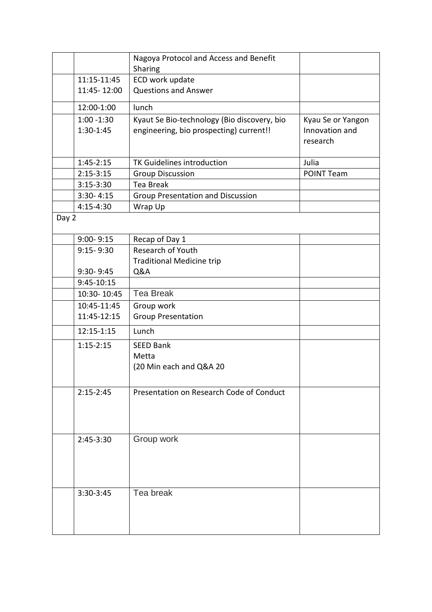|       |                            | Nagoya Protocol and Access and Benefit<br>Sharing                                      |                                                 |
|-------|----------------------------|----------------------------------------------------------------------------------------|-------------------------------------------------|
|       | 11:15-11:45                | ECD work update                                                                        |                                                 |
|       | 11:45-12:00                | <b>Questions and Answer</b>                                                            |                                                 |
|       | 12:00-1:00                 | lunch                                                                                  |                                                 |
|       | $1:00 - 1:30$<br>1:30-1:45 | Kyaut Se Bio-technology (Bio discovery, bio<br>engineering, bio prospecting) current!! | Kyau Se or Yangon<br>Innovation and<br>research |
|       | $1:45-2:15$                | TK Guidelines introduction                                                             | Julia                                           |
|       | $2:15-3:15$                | <b>Group Discussion</b>                                                                | <b>POINT Team</b>                               |
|       | $3:15-3:30$                | <b>Tea Break</b>                                                                       |                                                 |
|       | $3:30 - 4:15$              | <b>Group Presentation and Discussion</b>                                               |                                                 |
|       | $4:15-4:30$                | Wrap Up                                                                                |                                                 |
| Day 2 |                            |                                                                                        |                                                 |
|       | $9:00 - 9:15$              | Recap of Day 1                                                                         |                                                 |
|       | $9:15 - 9:30$              | Research of Youth                                                                      |                                                 |
|       |                            | <b>Traditional Medicine trip</b>                                                       |                                                 |
|       | 9:30-9:45                  | Q&A                                                                                    |                                                 |
|       | 9:45-10:15                 |                                                                                        |                                                 |
|       | 10:30-10:45                | <b>Tea Break</b>                                                                       |                                                 |
|       | 10:45-11:45                | Group work                                                                             |                                                 |
|       | 11:45-12:15                | <b>Group Presentation</b>                                                              |                                                 |
|       | 12:15-1:15                 | Lunch                                                                                  |                                                 |
|       | $1:15-2:15$                | <b>SEED Bank</b>                                                                       |                                                 |
|       |                            | Metta                                                                                  |                                                 |
|       |                            | (20 Min each and Q&A 20                                                                |                                                 |
|       |                            |                                                                                        |                                                 |
|       | $2:15-2:45$                | Presentation on Research Code of Conduct                                               |                                                 |
|       | $2:45-3:30$                | Group work                                                                             |                                                 |
|       |                            |                                                                                        |                                                 |
|       |                            |                                                                                        |                                                 |
|       |                            |                                                                                        |                                                 |
|       |                            |                                                                                        |                                                 |
|       | 3:30-3:45                  | Tea break                                                                              |                                                 |
|       |                            |                                                                                        |                                                 |
|       |                            |                                                                                        |                                                 |
|       |                            |                                                                                        |                                                 |